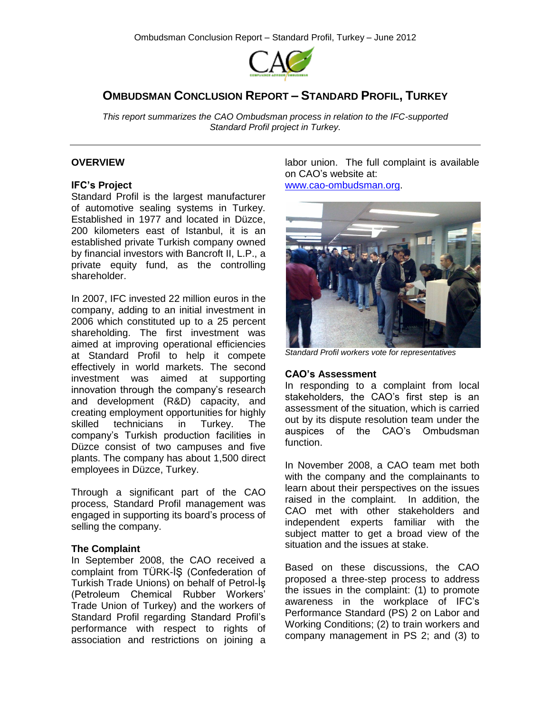

# **OMBUDSMAN CONCLUSION REPORT – STANDARD PROFIL, TURKEY**

*This report summarizes the CAO Ombudsman process in relation to the IFC-supported Standard Profil project in Turkey.*

### **OVERVIEW**

#### **IFC's Project**

Standard Profil is the largest manufacturer of automotive sealing systems in Turkey. Established in 1977 and located in Düzce, 200 kilometers east of Istanbul, it is an established private Turkish company owned by financial investors with Bancroft II, L.P., a private equity fund, as the controlling shareholder.

In 2007, IFC invested 22 million euros in the company, adding to an initial investment in 2006 which constituted up to a 25 percent shareholding. The first investment was aimed at improving operational efficiencies at Standard Profil to help it compete effectively in world markets. The second investment was aimed at supporting innovation through the company's research and development (R&D) capacity, and creating employment opportunities for highly skilled technicians in Turkey. The company's Turkish production facilities in Düzce consist of two campuses and five plants. The company has about 1,500 direct employees in Düzce, Turkey.

Through a significant part of the CAO process, Standard Profil management was engaged in supporting its board's process of selling the company.

#### **The Complaint**

In September 2008, the CAO received a complaint from TÜRK-İŞ (Confederation of Turkish Trade Unions) on behalf of Petrol-İş (Petroleum Chemical Rubber Workers' Trade Union of Turkey) and the workers of Standard Profil regarding Standard Profil's performance with respect to rights of association and restrictions on joining a labor union. The full complaint is available on CAO's website at:

[www.cao-ombudsman.org.](http://www.cao-ombudsman.org/)



*Standard Profil workers vote for representatives*

#### **CAO's Assessment**

In responding to a complaint from local stakeholders, the CAO's first step is an assessment of the situation, which is carried out by its dispute resolution team under the auspices of the CAO's Ombudsman function.

In November 2008, a CAO team met both with the company and the complainants to learn about their perspectives on the issues raised in the complaint. In addition, the CAO met with other stakeholders and independent experts familiar with the subject matter to get a broad view of the situation and the issues at stake.

Based on these discussions, the CAO proposed a three-step process to address the issues in the complaint: (1) to promote awareness in the workplace of IFC's Performance Standard (PS) 2 on Labor and Working Conditions; (2) to train workers and company management in PS 2; and (3) to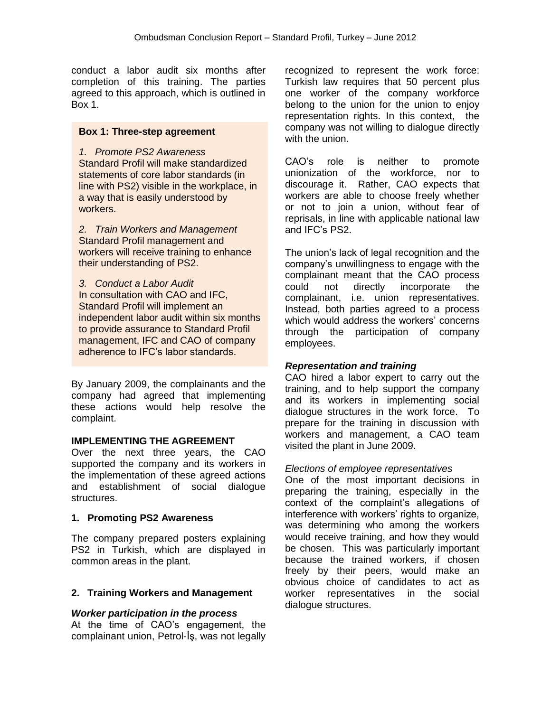conduct a labor audit six months after completion of this training. The parties agreed to this approach, which is outlined in Box 1.

## **Box 1: Three-step agreement**

*1. Promote PS2 Awareness*  Standard Profil will make standardized statements of core labor standards (in line with PS2) visible in the workplace, in a way that is easily understood by workers.

*2. Train Workers and Management* Standard Profil management and workers will receive training to enhance their understanding of PS2.

*3. Conduct a Labor Audit* In consultation with CAO and IFC, Standard Profil will implement an independent labor audit within six months to provide assurance to Standard Profil management, IFC and CAO of company adherence to IFC's labor standards.

By January 2009, the complainants and the company had agreed that implementing these actions would help resolve the complaint.

## **IMPLEMENTING THE AGREEMENT**

Over the next three years, the CAO supported the company and its workers in the implementation of these agreed actions and establishment of social dialogue structures.

## **1. Promoting PS2 Awareness**

The company prepared posters explaining PS2 in Turkish, which are displayed in common areas in the plant.

## **2. Training Workers and Management**

## *Worker participation in the process*

At the time of CAO's engagement, the complainant union, Petrol-İş, was not legally

recognized to represent the work force: Turkish law requires that 50 percent plus one worker of the company workforce belong to the union for the union to enjoy representation rights. In this context, the company was not willing to dialogue directly with the union.

CAO's role is neither to promote unionization of the workforce, nor to discourage it. Rather, CAO expects that workers are able to choose freely whether or not to join a union, without fear of reprisals, in line with applicable national law and IFC's PS2.

The union's lack of legal recognition and the company's unwillingness to engage with the complainant meant that the CAO process could not directly incorporate the complainant, i.e. union representatives. Instead, both parties agreed to a process which would address the workers' concerns through the participation of company employees.

## *Representation and training*

CAO hired a labor expert to carry out the training, and to help support the company and its workers in implementing social dialogue structures in the work force. To prepare for the training in discussion with workers and management, a CAO team visited the plant in June 2009.

## *Elections of employee representatives*

One of the most important decisions in preparing the training, especially in the context of the complaint's allegations of interference with workers' rights to organize, was determining who among the workers would receive training, and how they would be chosen. This was particularly important because the trained workers, if chosen freely by their peers, would make an obvious choice of candidates to act as worker representatives in the social dialogue structures.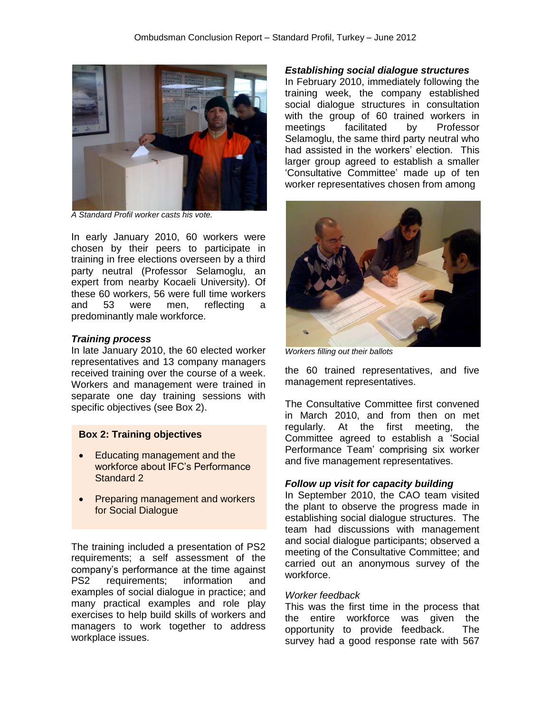

*A Standard Profil worker casts his vote.* 

In early January 2010, 60 workers were chosen by their peers to participate in training in free elections overseen by a third party neutral (Professor Selamoglu, an expert from nearby Kocaeli University). Of these 60 workers, 56 were full time workers and 53 were men, reflecting a predominantly male workforce.

#### *Training process*

In late January 2010, the 60 elected worker representatives and 13 company managers received training over the course of a week. Workers and management were trained in separate one day training sessions with specific objectives (see Box 2).

#### **Box 2: Training objectives**

- Educating management and the workforce about IFC's Performance Standard 2
- **Preparing management and workers** for Social Dialogue

The training included a presentation of PS2 requirements; a self assessment of the company's performance at the time against PS2 requirements; information and examples of social dialogue in practice; and many practical examples and role play exercises to help build skills of workers and managers to work together to address workplace issues.

*Establishing social dialogue structures*

In February 2010, immediately following the training week, the company established social dialogue structures in consultation with the group of 60 trained workers in meetings facilitated by Professor Selamoglu, the same third party neutral who had assisted in the workers' election. This larger group agreed to establish a smaller 'Consultative Committee' made up of ten worker representatives chosen from among



*Workers filling out their ballots*

the 60 trained representatives, and five management representatives.

The Consultative Committee first convened in March 2010, and from then on met regularly. At the first meeting, the Committee agreed to establish a 'Social Performance Team' comprising six worker and five management representatives.

#### *Follow up visit for capacity building*

In September 2010, the CAO team visited the plant to observe the progress made in establishing social dialogue structures. The team had discussions with management and social dialogue participants; observed a meeting of the Consultative Committee; and carried out an anonymous survey of the workforce.

#### *Worker feedback*

This was the first time in the process that the entire workforce was given the opportunity to provide feedback. The survey had a good response rate with 567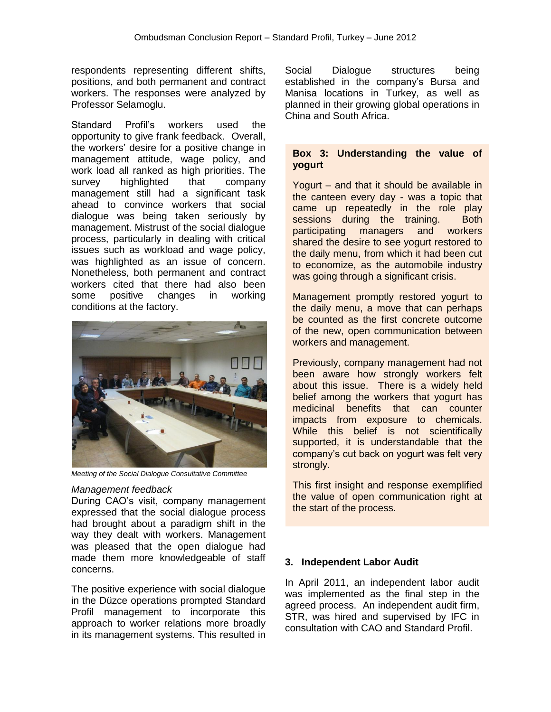respondents representing different shifts, positions, and both permanent and contract workers. The responses were analyzed by Professor Selamoglu.

Standard Profil's workers used the opportunity to give frank feedback. Overall, the workers' desire for a positive change in management attitude, wage policy, and work load all ranked as high priorities. The survey highlighted that company management still had a significant task ahead to convince workers that social dialogue was being taken seriously by management. Mistrust of the social dialogue process, particularly in dealing with critical issues such as workload and wage policy, was highlighted as an issue of concern. Nonetheless, both permanent and contract workers cited that there had also been some positive changes in working conditions at the factory.



*Meeting of the Social Dialogue Consultative Committee* 

#### *Management feedback*

During CAO's visit, company management expressed that the social dialogue process had brought about a paradigm shift in the way they dealt with workers. Management was pleased that the open dialogue had made them more knowledgeable of staff concerns.

The positive experience with social dialogue in the Düzce operations prompted Standard Profil management to incorporate this approach to worker relations more broadly in its management systems. This resulted in Social Dialogue structures being established in the company's Bursa and Manisa locations in Turkey, as well as planned in their growing global operations in China and South Africa.

### **Box 3: Understanding the value of yogurt**

Yogurt – and that it should be available in the canteen every day - was a topic that came up repeatedly in the role play sessions during the training. Both participating managers and workers shared the desire to see yogurt restored to the daily menu, from which it had been cut to economize, as the automobile industry was going through a significant crisis.

Management promptly restored yogurt to the daily menu, a move that can perhaps be counted as the first concrete outcome of the new, open communication between workers and management.

Previously, company management had not been aware how strongly workers felt about this issue. There is a widely held belief among the workers that yogurt has medicinal benefits that can counter impacts from exposure to chemicals. While this belief is not scientifically supported, it is understandable that the company's cut back on yogurt was felt very strongly.

This first insight and response exemplified the value of open communication right at the start of the process.

## **3. Independent Labor Audit**

In April 2011, an independent labor audit was implemented as the final step in the agreed process. An independent audit firm, STR, was hired and supervised by IFC in consultation with CAO and Standard Profil.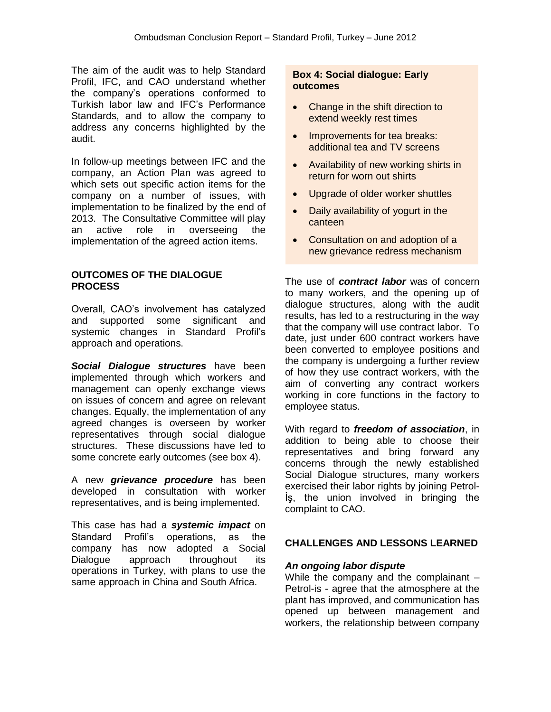The aim of the audit was to help Standard Profil, IFC, and CAO understand whether the company's operations conformed to Turkish labor law and IFC's Performance Standards, and to allow the company to address any concerns highlighted by the audit.

In follow-up meetings between IFC and the company, an Action Plan was agreed to which sets out specific action items for the company on a number of issues, with implementation to be finalized by the end of 2013. The Consultative Committee will play an active role in overseeing the implementation of the agreed action items.

### **OUTCOMES OF THE DIALOGUE PROCESS**

Overall, CAO's involvement has catalyzed and supported some significant and systemic changes in Standard Profil's approach and operations.

*Social Dialogue structures* have been implemented through which workers and management can openly exchange views on issues of concern and agree on relevant changes. Equally, the implementation of any agreed changes is overseen by worker representatives through social dialogue structures. These discussions have led to some concrete early outcomes (see box 4).

A new *grievance procedure* has been developed in consultation with worker representatives, and is being implemented.

This case has had a *systemic impact* on Standard Profil's operations, as the company has now adopted a Social Dialogue approach throughout its operations in Turkey, with plans to use the same approach in China and South Africa.

## **Box 4: Social dialogue: Early outcomes**

- Change in the shift direction to extend weekly rest times
- Improvements for tea breaks: additional tea and TV screens
- Availability of new working shirts in return for worn out shirts
- Upgrade of older worker shuttles
- Daily availability of yogurt in the canteen
- Consultation on and adoption of a new grievance redress mechanism

The use of *contract labor* was of concern to many workers, and the opening up of dialogue structures, along with the audit results, has led to a restructuring in the way that the company will use contract labor. To date, just under 600 contract workers have been converted to employee positions and the company is undergoing a further review of how they use contract workers, with the aim of converting any contract workers working in core functions in the factory to employee status.

With regard to *freedom of association*, in addition to being able to choose their representatives and bring forward any concerns through the newly established Social Dialogue structures, many workers exercised their labor rights by joining Petrol-İş, the union involved in bringing the complaint to CAO.

## **CHALLENGES AND LESSONS LEARNED**

## *An ongoing labor dispute*

While the company and the complainant – Petrol-is - agree that the atmosphere at the plant has improved, and communication has opened up between management and workers, the relationship between company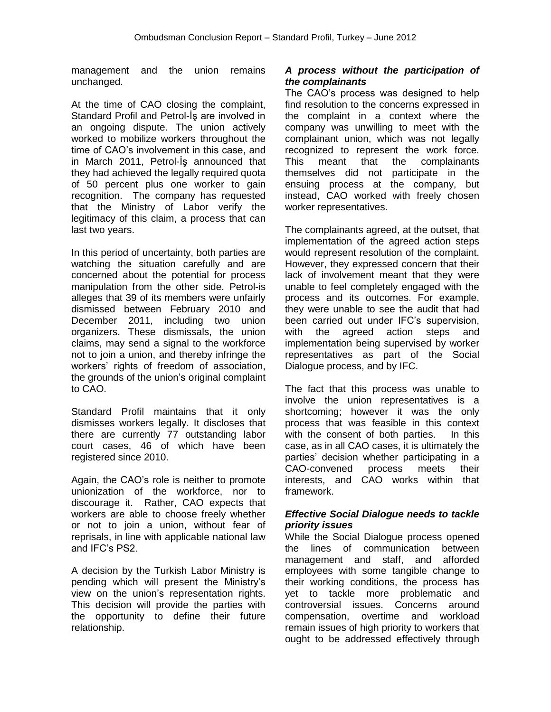management and the union remains unchanged.

At the time of CAO closing the complaint, Standard Profil and Petrol-İş are involved in an ongoing dispute. The union actively worked to mobilize workers throughout the time of CAO's involvement in this case, and in March 2011, Petrol-İş announced that they had achieved the legally required quota of 50 percent plus one worker to gain recognition. The company has requested that the Ministry of Labor verify the legitimacy of this claim, a process that can last two years.

In this period of uncertainty, both parties are watching the situation carefully and are concerned about the potential for process manipulation from the other side. Petrol-is alleges that 39 of its members were unfairly dismissed between February 2010 and December 2011, including two union organizers. These dismissals, the union claims, may send a signal to the workforce not to join a union, and thereby infringe the workers' rights of freedom of association, the grounds of the union's original complaint to CAO.

Standard Profil maintains that it only dismisses workers legally. It discloses that there are currently 77 outstanding labor court cases, 46 of which have been registered since 2010.

Again, the CAO's role is neither to promote unionization of the workforce, nor to discourage it. Rather, CAO expects that workers are able to choose freely whether or not to join a union, without fear of reprisals, in line with applicable national law and IFC's PS2.

A decision by the Turkish Labor Ministry is pending which will present the Ministry's view on the union's representation rights. This decision will provide the parties with the opportunity to define their future relationship.

## *A process without the participation of the complainants*

The CAO's process was designed to help find resolution to the concerns expressed in the complaint in a context where the company was unwilling to meet with the complainant union, which was not legally recognized to represent the work force. This meant that the complainants themselves did not participate in the ensuing process at the company, but instead, CAO worked with freely chosen worker representatives.

The complainants agreed, at the outset, that implementation of the agreed action steps would represent resolution of the complaint. However, they expressed concern that their lack of involvement meant that they were unable to feel completely engaged with the process and its outcomes. For example, they were unable to see the audit that had been carried out under IFC's supervision, with the agreed action steps and implementation being supervised by worker representatives as part of the Social Dialogue process, and by IFC.

The fact that this process was unable to involve the union representatives is a shortcoming; however it was the only process that was feasible in this context with the consent of both parties. In this case, as in all CAO cases, it is ultimately the parties' decision whether participating in a CAO-convened process meets their interests, and CAO works within that framework.

## *Effective Social Dialogue needs to tackle priority issues*

While the Social Dialogue process opened the lines of communication between management and staff, and afforded employees with some tangible change to their working conditions, the process has yet to tackle more problematic and controversial issues. Concerns around compensation, overtime and workload remain issues of high priority to workers that ought to be addressed effectively through